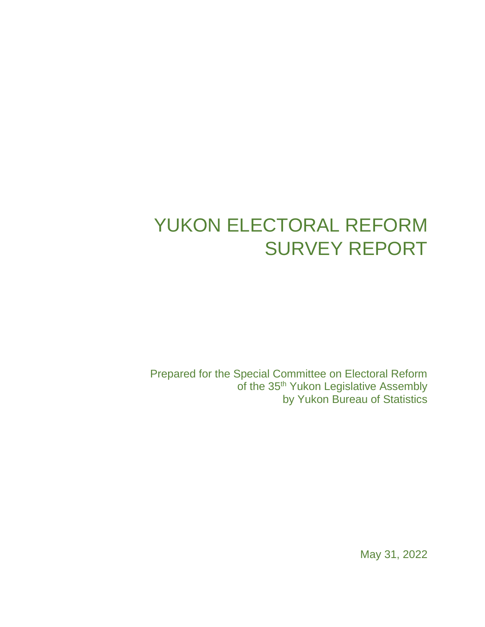# YUKON ELECTORAL REFORM SURVEY REPORT

Prepared for the Special Committee on Electoral Reform of the 35<sup>th</sup> Yukon Legislative Assembly by Yukon Bureau of Statistics

May 31, 2022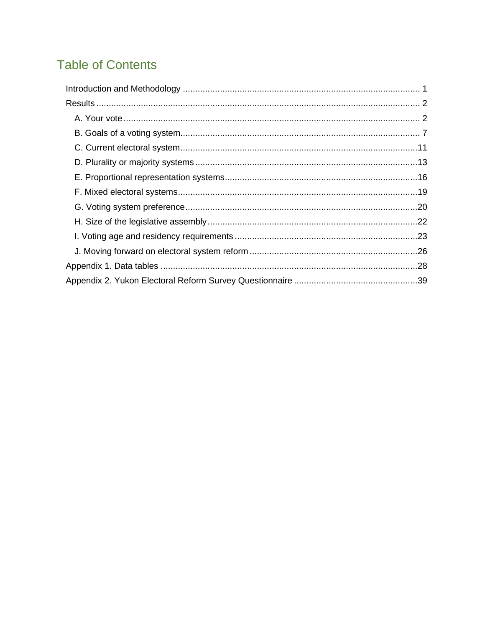# **Table of Contents**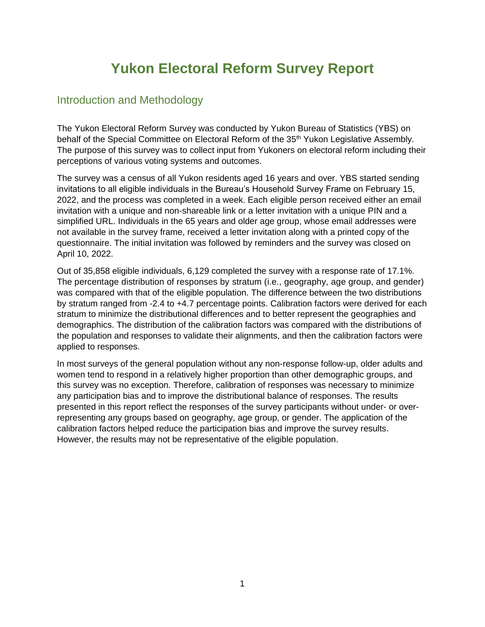# **Yukon Electoral Reform Survey Report**

## <span id="page-2-0"></span>Introduction and Methodology

The Yukon Electoral Reform Survey was conducted by Yukon Bureau of Statistics (YBS) on behalf of the Special Committee on Electoral Reform of the 35<sup>th</sup> Yukon Legislative Assembly. The purpose of this survey was to collect input from Yukoners on electoral reform including their perceptions of various voting systems and outcomes.

The survey was a census of all Yukon residents aged 16 years and over. YBS started sending invitations to all eligible individuals in the Bureau's Household Survey Frame on February 15, 2022, and the process was completed in a week. Each eligible person received either an email invitation with a unique and non-shareable link or a letter invitation with a unique PIN and a simplified URL. Individuals in the 65 years and older age group, whose email addresses were not available in the survey frame, received a letter invitation along with a printed copy of the questionnaire. The initial invitation was followed by reminders and the survey was closed on April 10, 2022.

Out of 35,858 eligible individuals, 6,129 completed the survey with a response rate of 17.1%. The percentage distribution of responses by stratum (i.e., geography, age group, and gender) was compared with that of the eligible population. The difference between the two distributions by stratum ranged from -2.4 to +4.7 percentage points. Calibration factors were derived for each stratum to minimize the distributional differences and to better represent the geographies and demographics. The distribution of the calibration factors was compared with the distributions of the population and responses to validate their alignments, and then the calibration factors were applied to responses.

In most surveys of the general population without any non-response follow-up, older adults and women tend to respond in a relatively higher proportion than other demographic groups, and this survey was no exception. Therefore, calibration of responses was necessary to minimize any participation bias and to improve the distributional balance of responses. The results presented in this report reflect the responses of the survey participants without under- or overrepresenting any groups based on geography, age group, or gender. The application of the calibration factors helped reduce the participation bias and improve the survey results. However, the results may not be representative of the eligible population.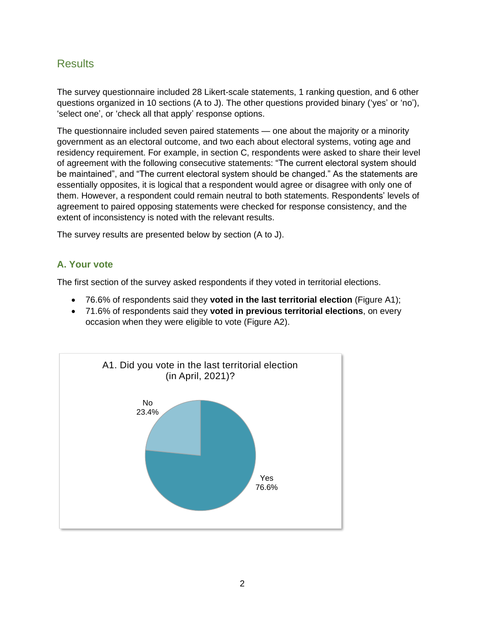## <span id="page-3-0"></span>Results

The survey questionnaire included 28 Likert-scale statements, 1 ranking question, and 6 other questions organized in 10 sections (A to J). The other questions provided binary ('yes' or 'no'), 'select one', or 'check all that apply' response options.

The questionnaire included seven paired statements — one about the majority or a minority government as an electoral outcome, and two each about electoral systems, voting age and residency requirement. For example, in section C, respondents were asked to share their level of agreement with the following consecutive statements: "The current electoral system should be maintained", and "The current electoral system should be changed." As the statements are essentially opposites, it is logical that a respondent would agree or disagree with only one of them. However, a respondent could remain neutral to both statements. Respondents' levels of agreement to paired opposing statements were checked for response consistency, and the extent of inconsistency is noted with the relevant results.

The survey results are presented below by section (A to J).

## <span id="page-3-1"></span>**A. Your vote**

The first section of the survey asked respondents if they voted in territorial elections.

- 76.6% of respondents said they **voted in the last territorial election** (Figure A1);
- 71.6% of respondents said they **voted in previous territorial elections**, on every occasion when they were eligible to vote (Figure A2).

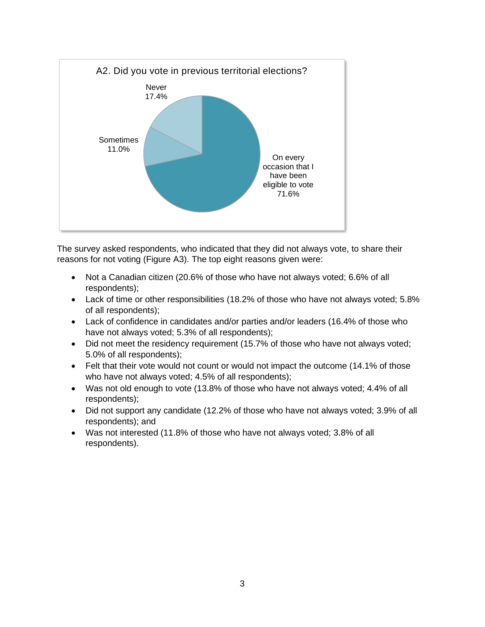

The survey asked respondents, who indicated that they did not always vote, to share their reasons for not voting (Figure A3). The top eight reasons given were:

- Not a Canadian citizen (20.6% of those who have not always voted; 6.6% of all respondents);
- Lack of time or other responsibilities (18.2% of those who have not always voted; 5.8% of all respondents);
- Lack of confidence in candidates and/or parties and/or leaders (16.4% of those who have not always voted; 5.3% of all respondents);
- Did not meet the residency requirement (15.7% of those who have not always voted; 5.0% of all respondents);
- Felt that their vote would not count or would not impact the outcome (14.1% of those who have not always voted; 4.5% of all respondents);
- Was not old enough to vote (13.8% of those who have not always voted; 4.4% of all respondents);
- Did not support any candidate (12.2% of those who have not always voted; 3.9% of all respondents); and
- Was not interested (11.8% of those who have not always voted; 3.8% of all respondents).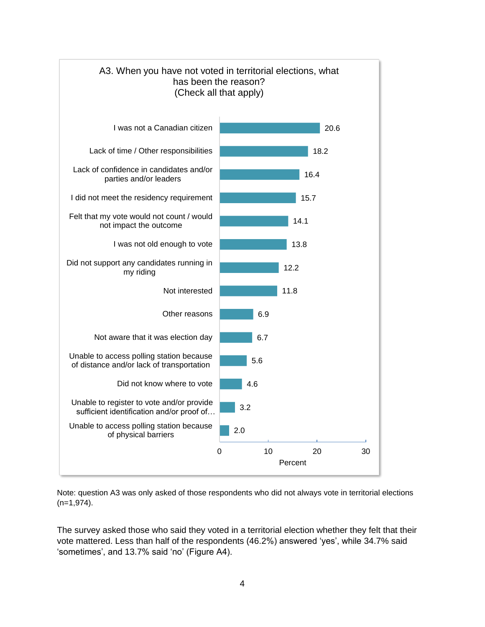

Note: question A3 was only asked of those respondents who did not always vote in territorial elections (n=1,974).

The survey asked those who said they voted in a territorial election whether they felt that their vote mattered. Less than half of the respondents (46.2%) answered 'yes', while 34.7% said 'sometimes', and 13.7% said 'no' (Figure A4).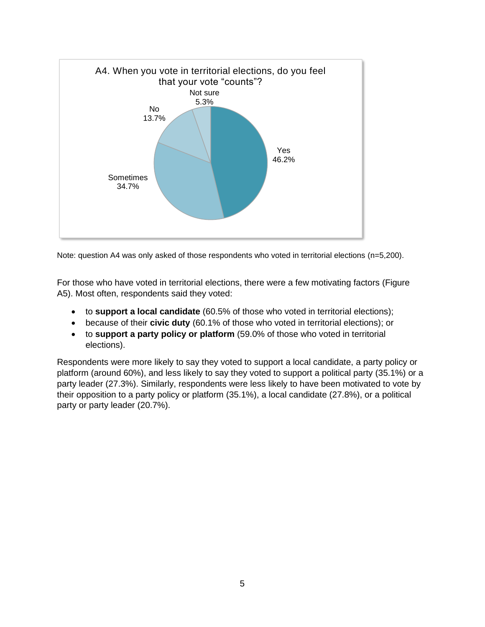

Note: question A4 was only asked of those respondents who voted in territorial elections (n=5,200).

For those who have voted in territorial elections, there were a few motivating factors (Figure A5). Most often, respondents said they voted:

- to **support a local candidate** (60.5% of those who voted in territorial elections);
- because of their **civic duty** (60.1% of those who voted in territorial elections); or
- to **support a party policy or platform** (59.0% of those who voted in territorial elections).

Respondents were more likely to say they voted to support a local candidate, a party policy or platform (around 60%), and less likely to say they voted to support a political party (35.1%) or a party leader (27.3%). Similarly, respondents were less likely to have been motivated to vote by their opposition to a party policy or platform (35.1%), a local candidate (27.8%), or a political party or party leader (20.7%).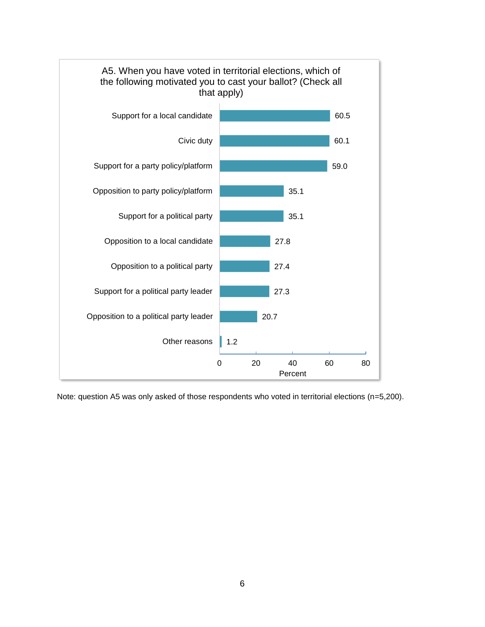

Note: question A5 was only asked of those respondents who voted in territorial elections (n=5,200).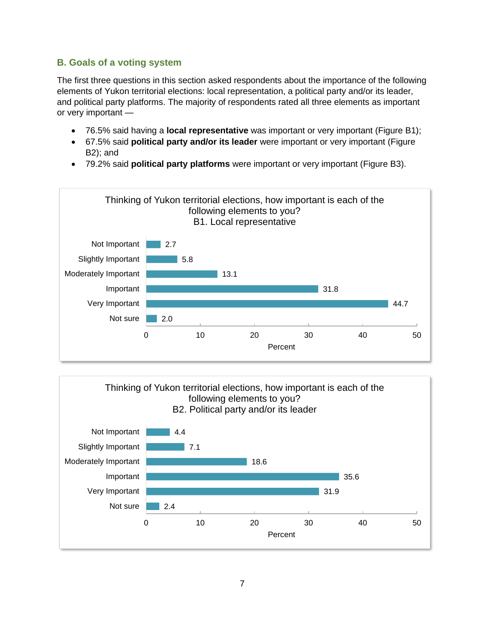## <span id="page-8-0"></span>**B. Goals of a voting system**

The first three questions in this section asked respondents about the importance of the following elements of Yukon territorial elections: local representation, a political party and/or its leader, and political party platforms. The majority of respondents rated all three elements as important or very important —

- 76.5% said having a **local representative** was important or very important (Figure B1);
- 67.5% said **political party and/or its leader** were important or very important (Figure B2); and
- 79.2% said **political party platforms** were important or very important (Figure B3).



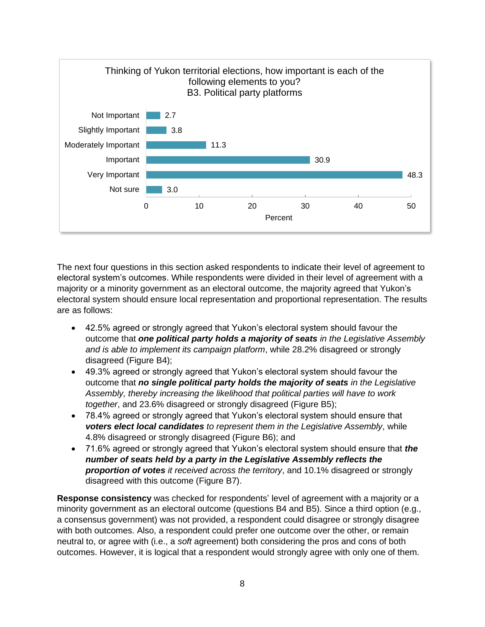

The next four questions in this section asked respondents to indicate their level of agreement to electoral system's outcomes. While respondents were divided in their level of agreement with a majority or a minority government as an electoral outcome, the majority agreed that Yukon's electoral system should ensure local representation and proportional representation. The results are as follows:

- 42.5% agreed or strongly agreed that Yukon's electoral system should favour the outcome that *one political party holds a majority of seats in the Legislative Assembly and is able to implement its campaign platform*, while 28.2% disagreed or strongly disagreed (Figure B4);
- 49.3% agreed or strongly agreed that Yukon's electoral system should favour the outcome that *no single political party holds the majority of seats in the Legislative Assembly, thereby increasing the likelihood that political parties will have to work together*, and 23.6% disagreed or strongly disagreed (Figure B5);
- 78.4% agreed or strongly agreed that Yukon's electoral system should ensure that *voters elect local candidates to represent them in the Legislative Assembly*, while 4.8% disagreed or strongly disagreed (Figure B6); and
- 71.6% agreed or strongly agreed that Yukon's electoral system should ensure that *the number of seats held by a party in the Legislative Assembly reflects the proportion of votes it received across the territory*, and 10.1% disagreed or strongly disagreed with this outcome (Figure B7).

**Response consistency** was checked for respondents' level of agreement with a majority or a minority government as an electoral outcome (questions B4 and B5). Since a third option (e.g., a consensus government) was not provided, a respondent could disagree or strongly disagree with both outcomes. Also, a respondent could prefer one outcome over the other, or remain neutral to, or agree with (i.e., a *soft* agreement) both considering the pros and cons of both outcomes. However, it is logical that a respondent would strongly agree with only one of them.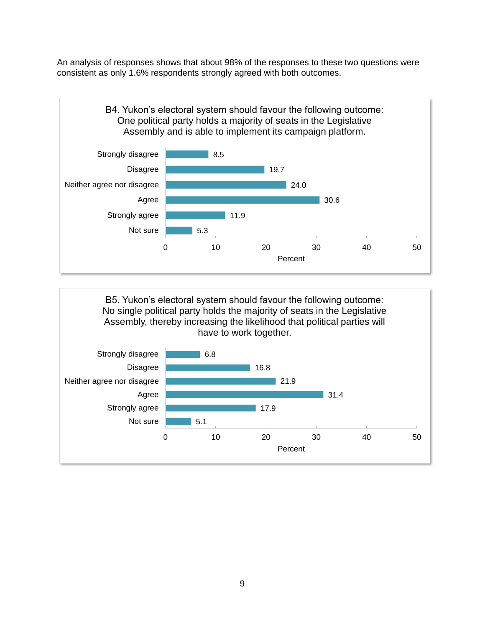An analysis of responses shows that about 98% of the responses to these two questions were consistent as only 1.6% respondents strongly agreed with both outcomes.



B5. Yukon's electoral system should favour the following outcome: No single political party holds the majority of seats in the Legislative Assembly, thereby increasing the likelihood that political parties will have to work together.

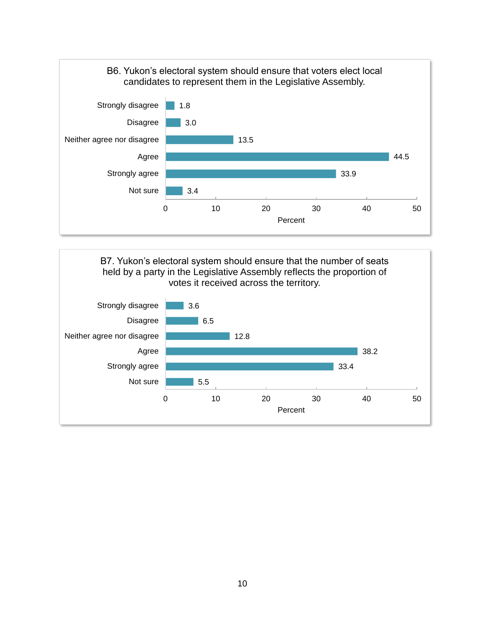

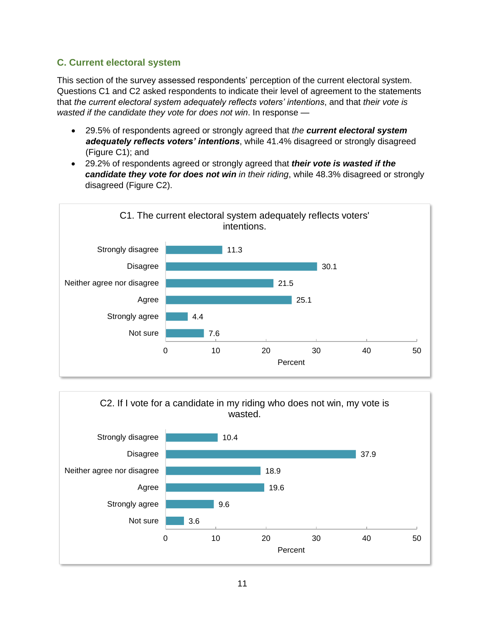## <span id="page-12-0"></span>**C. Current electoral system**

This section of the survey assessed respondents' perception of the current electoral system. Questions C1 and C2 asked respondents to indicate their level of agreement to the statements that *the current electoral system adequately reflects voters' intentions*, and that *their vote is wasted if the candidate they vote for does not win*. In response —

- 29.5% of respondents agreed or strongly agreed that *the current electoral system adequately reflects voters' intentions*, while 41.4% disagreed or strongly disagreed (Figure C1); and
- 29.2% of respondents agreed or strongly agreed that *their vote is wasted if the candidate they vote for does not win in their riding*, while 48.3% disagreed or strongly disagreed (Figure C2).



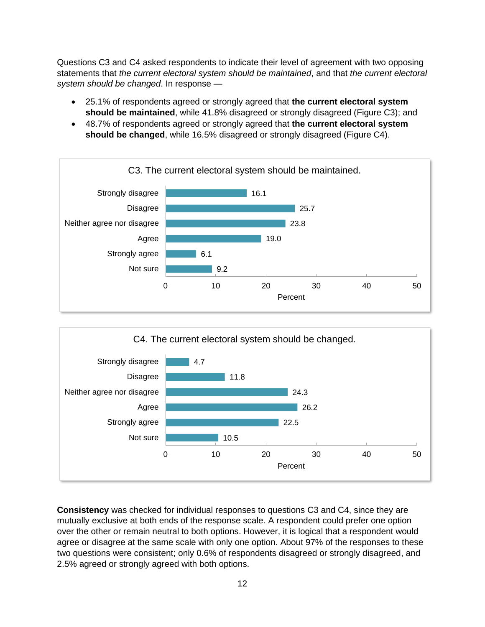Questions C3 and C4 asked respondents to indicate their level of agreement with two opposing statements that *the current electoral system should be maintained*, and that *the current electoral system should be changed*. In response —

- 25.1% of respondents agreed or strongly agreed that **the current electoral system should be maintained**, while 41.8% disagreed or strongly disagreed (Figure C3); and
- 48.7% of respondents agreed or strongly agreed that **the current electoral system should be changed**, while 16.5% disagreed or strongly disagreed (Figure C4).





**Consistency** was checked for individual responses to questions C3 and C4, since they are mutually exclusive at both ends of the response scale. A respondent could prefer one option over the other or remain neutral to both options. However, it is logical that a respondent would agree or disagree at the same scale with only one option. About 97% of the responses to these two questions were consistent; only 0.6% of respondents disagreed or strongly disagreed, and 2.5% agreed or strongly agreed with both options.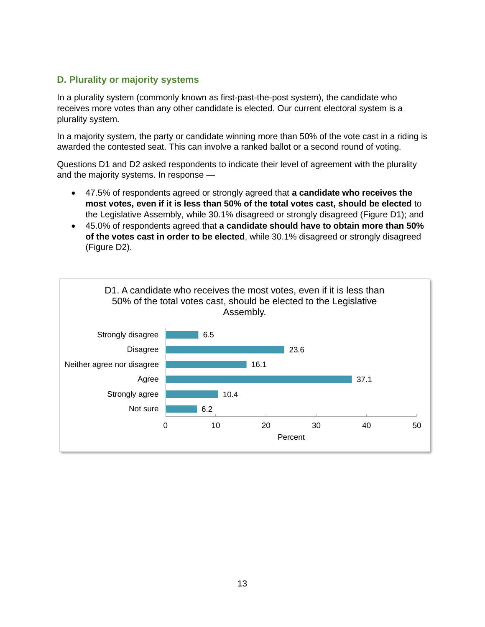## <span id="page-14-0"></span>**D. Plurality or majority systems**

In a plurality system (commonly known as first-past-the-post system), the candidate who receives more votes than any other candidate is elected. Our current electoral system is a plurality system.

In a majority system, the party or candidate winning more than 50% of the vote cast in a riding is awarded the contested seat. This can involve a ranked ballot or a second round of voting.

Questions D1 and D2 asked respondents to indicate their level of agreement with the plurality and the majority systems. In response —

- 47.5% of respondents agreed or strongly agreed that **a candidate who receives the most votes, even if it is less than 50% of the total votes cast, should be elected** to the Legislative Assembly, while 30.1% disagreed or strongly disagreed (Figure D1); and
- 45.0% of respondents agreed that **a candidate should have to obtain more than 50% of the votes cast in order to be elected**, while 30.1% disagreed or strongly disagreed (Figure D2).

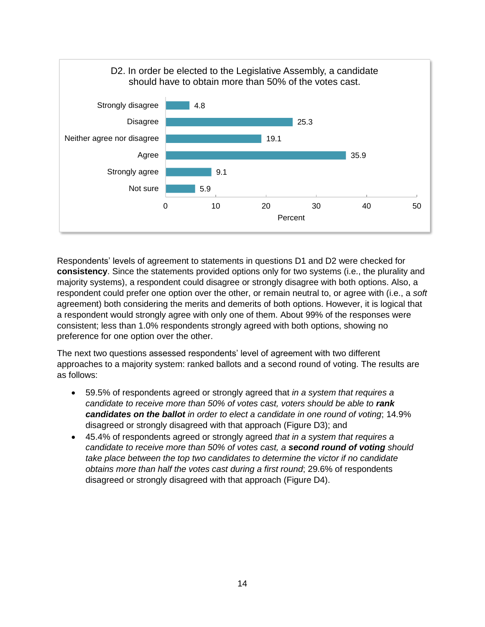

Respondents' levels of agreement to statements in questions D1 and D2 were checked for **consistency**. Since the statements provided options only for two systems (i.e., the plurality and majority systems), a respondent could disagree or strongly disagree with both options. Also, a respondent could prefer one option over the other, or remain neutral to, or agree with (i.e., a *soft* agreement) both considering the merits and demerits of both options. However, it is logical that a respondent would strongly agree with only one of them. About 99% of the responses were consistent; less than 1.0% respondents strongly agreed with both options, showing no preference for one option over the other.

The next two questions assessed respondents' level of agreement with two different approaches to a majority system: ranked ballots and a second round of voting. The results are as follows:

- 59.5% of respondents agreed or strongly agreed that *in a system that requires a candidate to receive more than 50% of votes cast, voters should be able to rank candidates on the ballot in order to elect a candidate in one round of voting*; 14.9% disagreed or strongly disagreed with that approach (Figure D3); and
- 45.4% of respondents agreed or strongly agreed *that in a system that requires a candidate to receive more than 50% of votes cast, a second round of voting should take place between the top two candidates to determine the victor if no candidate obtains more than half the votes cast during a first round*; 29.6% of respondents disagreed or strongly disagreed with that approach (Figure D4).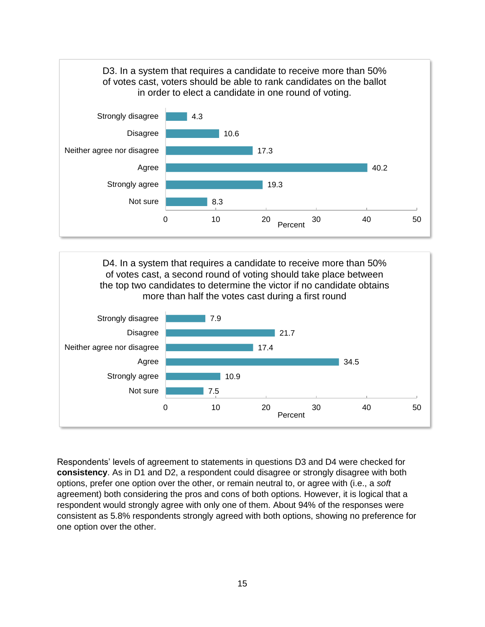



Respondents' levels of agreement to statements in questions D3 and D4 were checked for **consistency**. As in D1 and D2, a respondent could disagree or strongly disagree with both options, prefer one option over the other, or remain neutral to, or agree with (i.e., a *soft* agreement) both considering the pros and cons of both options. However, it is logical that a respondent would strongly agree with only one of them. About 94% of the responses were consistent as 5.8% respondents strongly agreed with both options, showing no preference for one option over the other.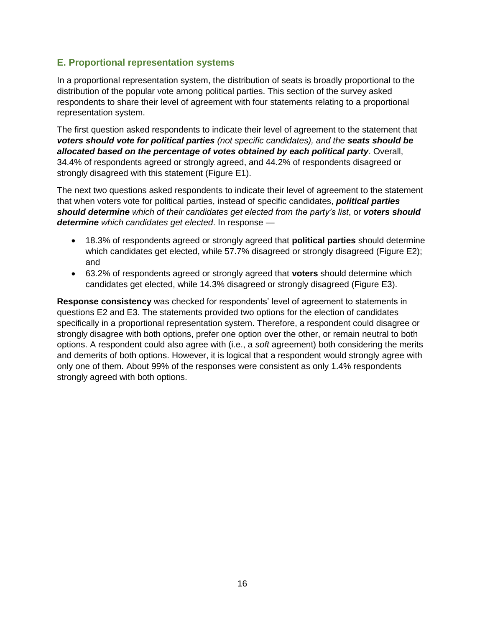## <span id="page-17-0"></span>**E. Proportional representation systems**

In a proportional representation system, the distribution of seats is broadly proportional to the distribution of the popular vote among political parties. This section of the survey asked respondents to share their level of agreement with four statements relating to a proportional representation system.

The first question asked respondents to indicate their level of agreement to the statement that *voters should vote for political parties (not specific candidates), and the seats should be allocated based on the percentage of votes obtained by each political party*. Overall, 34.4% of respondents agreed or strongly agreed, and 44.2% of respondents disagreed or strongly disagreed with this statement (Figure E1).

The next two questions asked respondents to indicate their level of agreement to the statement that when voters vote for political parties, instead of specific candidates, *political parties should determine which of their candidates get elected from the party's list*, or *voters should determine which candidates get elected*. In response —

- 18.3% of respondents agreed or strongly agreed that **political parties** should determine which candidates get elected, while 57.7% disagreed or strongly disagreed (Figure E2); and
- 63.2% of respondents agreed or strongly agreed that **voters** should determine which candidates get elected, while 14.3% disagreed or strongly disagreed (Figure E3).

**Response consistency** was checked for respondents' level of agreement to statements in questions E2 and E3. The statements provided two options for the election of candidates specifically in a proportional representation system. Therefore, a respondent could disagree or strongly disagree with both options, prefer one option over the other, or remain neutral to both options. A respondent could also agree with (i.e., a *soft* agreement) both considering the merits and demerits of both options. However, it is logical that a respondent would strongly agree with only one of them. About 99% of the responses were consistent as only 1.4% respondents strongly agreed with both options.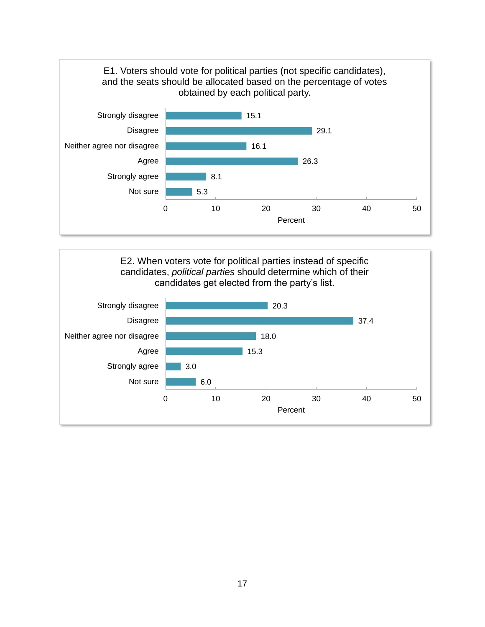

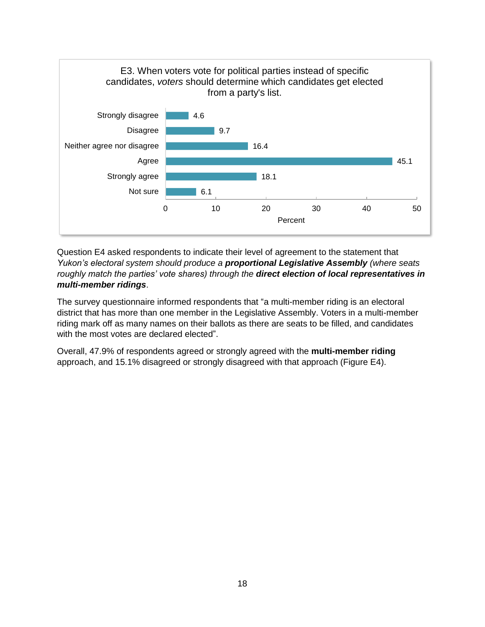

Question E4 asked respondents to indicate their level of agreement to the statement that *Yukon's electoral system should produce a proportional Legislative Assembly (where seats roughly match the parties' vote shares) through the direct election of local representatives in multi-member ridings*.

The survey questionnaire informed respondents that "a multi-member riding is an electoral district that has more than one member in the Legislative Assembly. Voters in a multi-member riding mark off as many names on their ballots as there are seats to be filled, and candidates with the most votes are declared elected".

Overall, 47.9% of respondents agreed or strongly agreed with the **multi-member riding** approach, and 15.1% disagreed or strongly disagreed with that approach (Figure E4).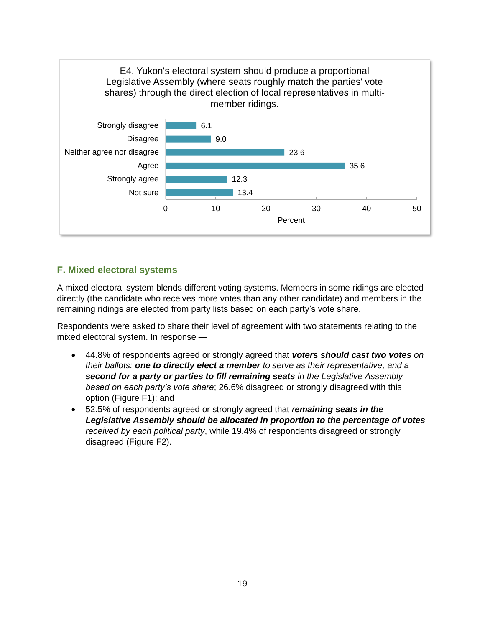

## <span id="page-20-0"></span>**F. Mixed electoral systems**

A mixed electoral system blends different voting systems. Members in some ridings are elected directly (the candidate who receives more votes than any other candidate) and members in the remaining ridings are elected from party lists based on each party's vote share.

Respondents were asked to share their level of agreement with two statements relating to the mixed electoral system. In response —

- 44.8% of respondents agreed or strongly agreed that *voters should cast two votes on their ballots: one to directly elect a member to serve as their representative, and a second for a party or parties to fill remaining seats in the Legislative Assembly based on each party's vote share*; 26.6% disagreed or strongly disagreed with this option (Figure F1); and
- 52.5% of respondents agreed or strongly agreed that *remaining seats in the Legislative Assembly should be allocated in proportion to the percentage of votes received by each political party*, while 19.4% of respondents disagreed or strongly disagreed (Figure F2).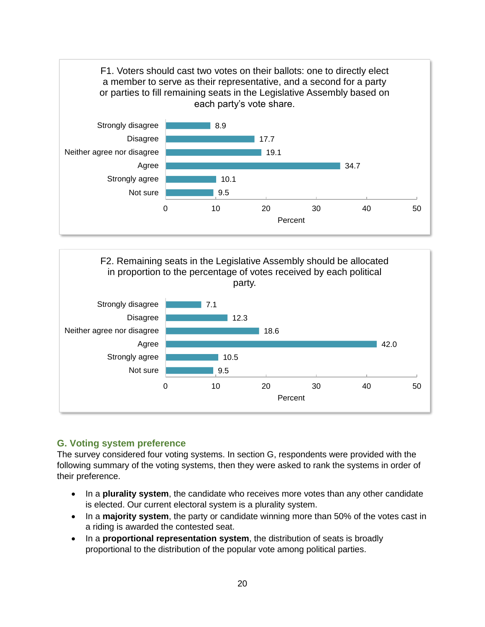



## <span id="page-21-0"></span>**G. Voting system preference**

The survey considered four voting systems. In section G, respondents were provided with the following summary of the voting systems, then they were asked to rank the systems in order of their preference.

- In a **plurality system**, the candidate who receives more votes than any other candidate is elected. Our current electoral system is a plurality system.
- In a **majority system**, the party or candidate winning more than 50% of the votes cast in a riding is awarded the contested seat.
- In a **proportional representation system**, the distribution of seats is broadly proportional to the distribution of the popular vote among political parties.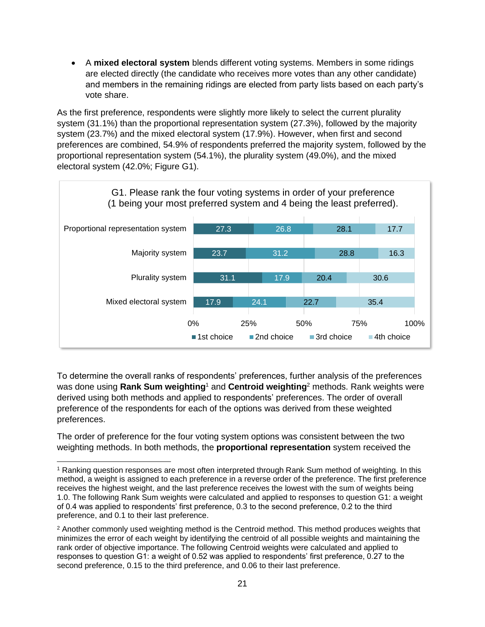• A **mixed electoral system** blends different voting systems. Members in some ridings are elected directly (the candidate who receives more votes than any other candidate) and members in the remaining ridings are elected from party lists based on each party's vote share.

As the first preference, respondents were slightly more likely to select the current plurality system (31.1%) than the proportional representation system (27.3%), followed by the majority system (23.7%) and the mixed electoral system (17.9%). However, when first and second preferences are combined, 54.9% of respondents preferred the majority system, followed by the proportional representation system (54.1%), the plurality system (49.0%), and the mixed electoral system (42.0%; Figure G1).



To determine the overall ranks of respondents' preferences, further analysis of the preferences was done using **Rank Sum weighting**<sup>1</sup> and **Centroid weighting**<sup>2</sup> methods. Rank weights were derived using both methods and applied to respondents' preferences. The order of overall preference of the respondents for each of the options was derived from these weighted preferences.

The order of preference for the four voting system options was consistent between the two weighting methods. In both methods, the **proportional representation** system received the

<sup>1</sup> Ranking question responses are most often interpreted through Rank Sum method of weighting. In this method, a weight is assigned to each preference in a reverse order of the preference. The first preference receives the highest weight, and the last preference receives the lowest with the sum of weights being 1.0. The following Rank Sum weights were calculated and applied to responses to question G1: a weight of 0.4 was applied to respondents' first preference, 0.3 to the second preference, 0.2 to the third preference, and 0.1 to their last preference.

<sup>&</sup>lt;sup>2</sup> Another commonly used weighting method is the Centroid method. This method produces weights that minimizes the error of each weight by identifying the centroid of all possible weights and maintaining the rank order of objective importance. The following Centroid weights were calculated and applied to responses to question G1: a weight of 0.52 was applied to respondents' first preference, 0.27 to the second preference, 0.15 to the third preference, and 0.06 to their last preference.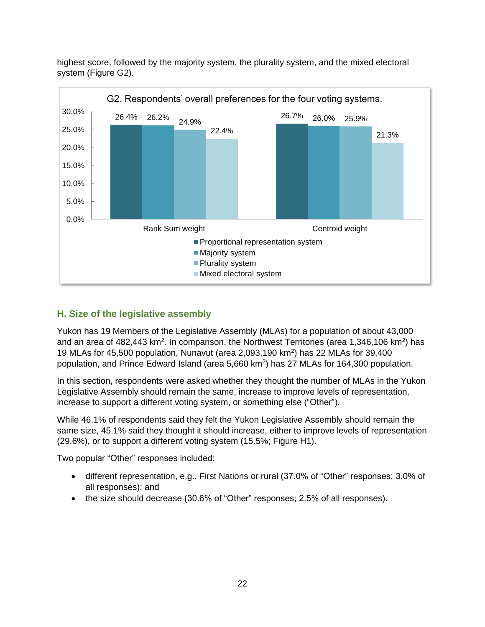highest score, followed by the majority system, the plurality system, and the mixed electoral system (Figure G2).



## <span id="page-23-0"></span>**H. Size of the legislative assembly**

Yukon has 19 Members of the Legislative Assembly (MLAs) for a population of about 43,000 and an area of 482,443 km<sup>2</sup>. In comparison, the Northwest Territories (area 1,346,106 km<sup>2</sup>) has 19 MLAs for 45,500 population, Nunavut (area 2,093,190 km<sup>2</sup> ) has 22 MLAs for 39,400 population, and Prince Edward Island (area 5,660 km<sup>2</sup>) has 27 MLAs for 164,300 population.

In this section, respondents were asked whether they thought the number of MLAs in the Yukon Legislative Assembly should remain the same, increase to improve levels of representation, increase to support a different voting system, or something else ("Other").

While 46.1% of respondents said they felt the Yukon Legislative Assembly should remain the same size, 45.1% said they thought it should increase, either to improve levels of representation (29.6%), or to support a different voting system (15.5%; Figure H1).

Two popular "Other" responses included:

- different representation, e.g., First Nations or rural (37.0% of "Other" responses; 3.0% of all responses); and
- the size should decrease (30.6% of "Other" responses; 2.5% of all responses).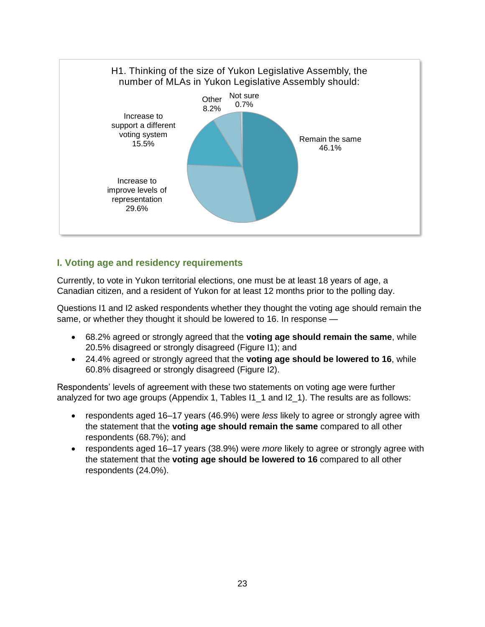

## <span id="page-24-0"></span>**I. Voting age and residency requirements**

Currently, to vote in Yukon territorial elections, one must be at least 18 years of age, a Canadian citizen, and a resident of Yukon for at least 12 months prior to the polling day.

Questions I1 and I2 asked respondents whether they thought the voting age should remain the same, or whether they thought it should be lowered to 16. In response —

- 68.2% agreed or strongly agreed that the **voting age should remain the same**, while 20.5% disagreed or strongly disagreed (Figure I1); and
- 24.4% agreed or strongly agreed that the **voting age should be lowered to 16**, while 60.8% disagreed or strongly disagreed (Figure I2).

Respondents' levels of agreement with these two statements on voting age were further analyzed for two age groups (Appendix 1, Tables I1\_1 and I2\_1). The results are as follows:

- respondents aged 16–17 years (46.9%) were *less* likely to agree or strongly agree with the statement that the **voting age should remain the same** compared to all other respondents (68.7%); and
- respondents aged 16–17 years (38.9%) were *more* likely to agree or strongly agree with the statement that the **voting age should be lowered to 16** compared to all other respondents (24.0%).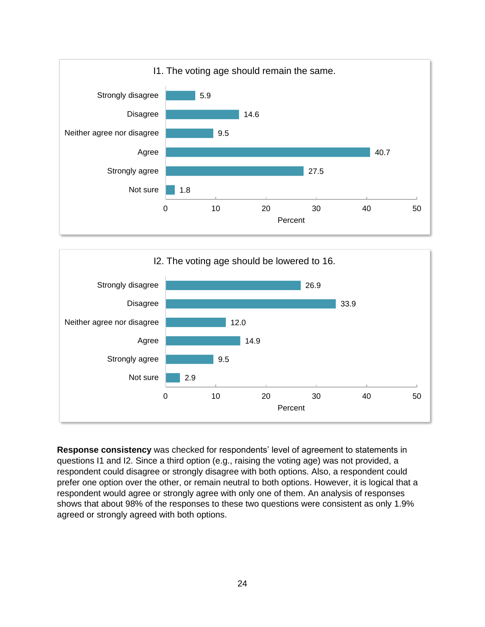



**Response consistency** was checked for respondents' level of agreement to statements in questions I1 and I2. Since a third option (e.g., raising the voting age) was not provided, a respondent could disagree or strongly disagree with both options. Also, a respondent could prefer one option over the other, or remain neutral to both options. However, it is logical that a respondent would agree or strongly agree with only one of them. An analysis of responses shows that about 98% of the responses to these two questions were consistent as only 1.9% agreed or strongly agreed with both options.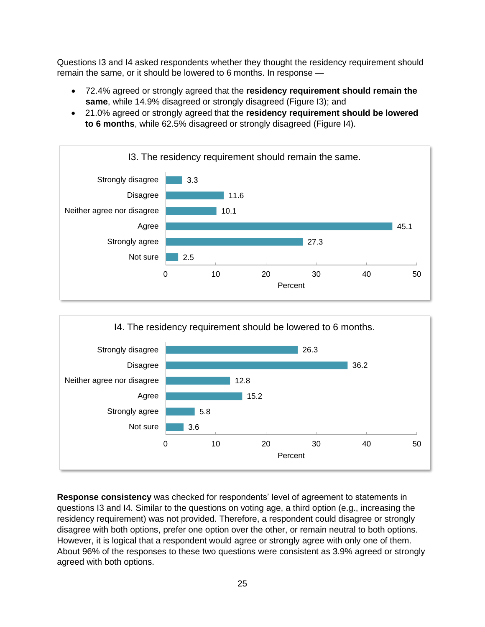Questions I3 and I4 asked respondents whether they thought the residency requirement should remain the same, or it should be lowered to 6 months. In response —

- 72.4% agreed or strongly agreed that the **residency requirement should remain the same**, while 14.9% disagreed or strongly disagreed (Figure I3); and
- 21.0% agreed or strongly agreed that the **residency requirement should be lowered to 6 months**, while 62.5% disagreed or strongly disagreed (Figure I4).





**Response consistency** was checked for respondents' level of agreement to statements in questions I3 and I4. Similar to the questions on voting age, a third option (e.g., increasing the residency requirement) was not provided. Therefore, a respondent could disagree or strongly disagree with both options, prefer one option over the other, or remain neutral to both options. However, it is logical that a respondent would agree or strongly agree with only one of them. About 96% of the responses to these two questions were consistent as 3.9% agreed or strongly agreed with both options.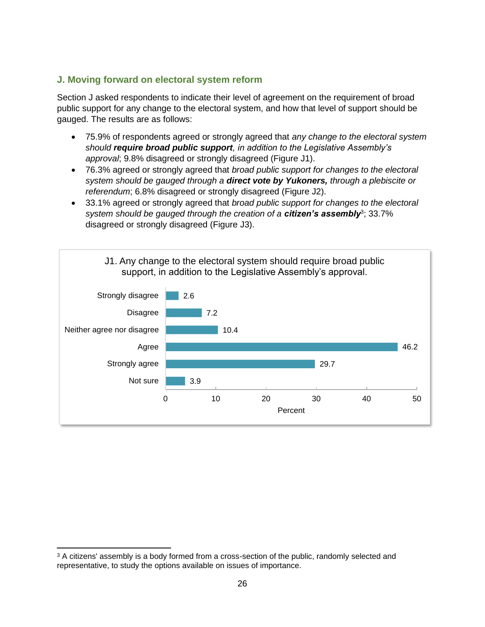## <span id="page-27-0"></span>**J. Moving forward on electoral system reform**

Section J asked respondents to indicate their level of agreement on the requirement of broad public support for any change to the electoral system, and how that level of support should be gauged. The results are as follows:

- 75.9% of respondents agreed or strongly agreed that *any change to the electoral system should require broad public support, in addition to the Legislative Assembly's approval*; 9.8% disagreed or strongly disagreed (Figure J1).
- 76.3% agreed or strongly agreed that *broad public support for changes to the electoral system should be gauged through a direct vote by Yukoners, through a plebiscite or referendum*; 6.8% disagreed or strongly disagreed (Figure J2).
- 33.1% agreed or strongly agreed that *broad public support for changes to the electoral*  system should be gauged through the creation of a **citizen's assembly**<sup>3</sup>; 33.7% disagreed or strongly disagreed (Figure J3).



<sup>&</sup>lt;sup>3</sup> A citizens' assembly is a body formed from a cross-section of the public, randomly selected and representative, to study the options available on issues of importance.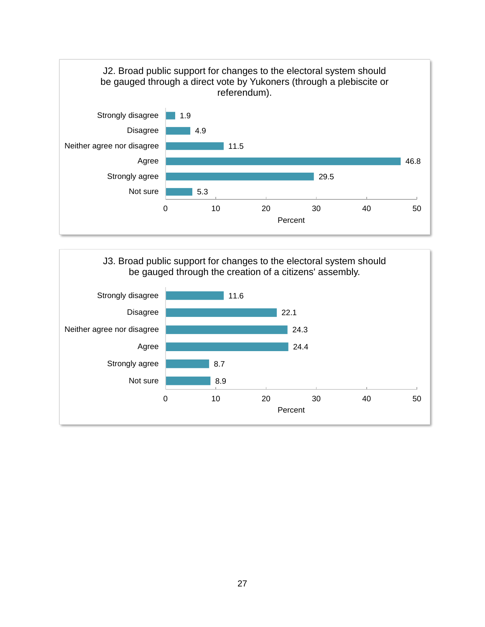

## J3. Broad public support for changes to the electoral system should be gauged through the creation of a citizens' assembly.

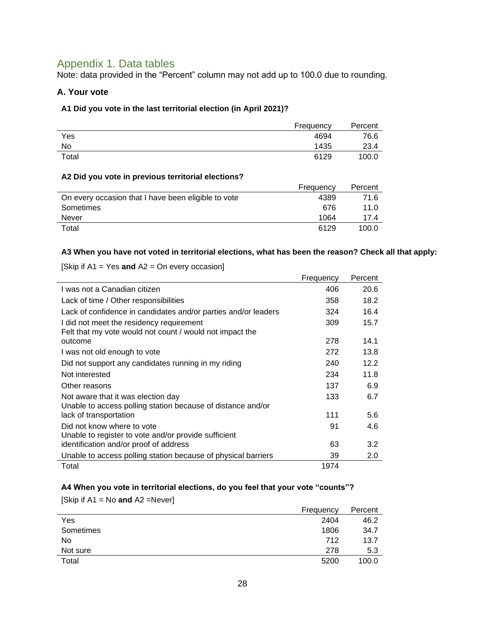## <span id="page-29-0"></span>Appendix 1. Data tables

Note: data provided in the "Percent" column may not add up to 100.0 due to rounding.

## **A. Your vote**

#### **A1 Did you vote in the last territorial election (in April 2021)?**

|       | Frequency | Percent |
|-------|-----------|---------|
| Yes   | 4694      | 76.6    |
| No    | 1435      | 23.4    |
| Total | 6129      | 100.0   |

#### **A2 Did you vote in previous territorial elections?**

|                                                     | Frequency | Percent |
|-----------------------------------------------------|-----------|---------|
| On every occasion that I have been eligible to vote | 4389      | 71.6    |
| Sometimes                                           | 676       | 11.0    |
| Never                                               | 1064      | 17.4    |
| Total                                               | 6129      | 100.0   |

#### **A3 When you have not voted in territorial elections, what has been the reason? Check all that apply:**

|                                                                | Frequency | Percent |
|----------------------------------------------------------------|-----------|---------|
| I was not a Canadian citizen                                   | 406       | 20.6    |
| Lack of time / Other responsibilities                          | 358       | 18.2    |
| Lack of confidence in candidates and/or parties and/or leaders | 324       | 16.4    |
| I did not meet the residency requirement                       | 309       | 15.7    |
| Felt that my vote would not count / would not impact the       |           |         |
| outcome                                                        | 278       | 14.1    |
| I was not old enough to vote                                   | 272       | 13.8    |
| Did not support any candidates running in my riding            | 240       | 12.2    |
| Not interested                                                 | 234       | 11.8    |
| Other reasons                                                  | 137       | 6.9     |
| Not aware that it was election day                             | 133       | 6.7     |
| Unable to access polling station because of distance and/or    |           |         |
| lack of transportation                                         | 111       | 5.6     |
| Did not know where to vote                                     | 91        | 4.6     |
| Unable to register to vote and/or provide sufficient           |           |         |
| identification and/or proof of address                         | 63        | 3.2     |
| Unable to access polling station because of physical barriers  | 39        | 2.0     |
| Total                                                          | 1974      |         |

[Skip if A1 = Yes **and** A2 = On every occasion]

### **A4 When you vote in territorial elections, do you feel that your vote "counts"?**

| [Skip if $A1 = No$ and $A2 = Never$ ] |           |         |
|---------------------------------------|-----------|---------|
|                                       | Frequency | Percent |
| Yes                                   | 2404      | 46.2    |
| Sometimes                             | 1806      | 34.7    |
| No                                    | 712       | 13.7    |
| Not sure                              | 278       | 5.3     |
| Total                                 | 5200      | 100.0   |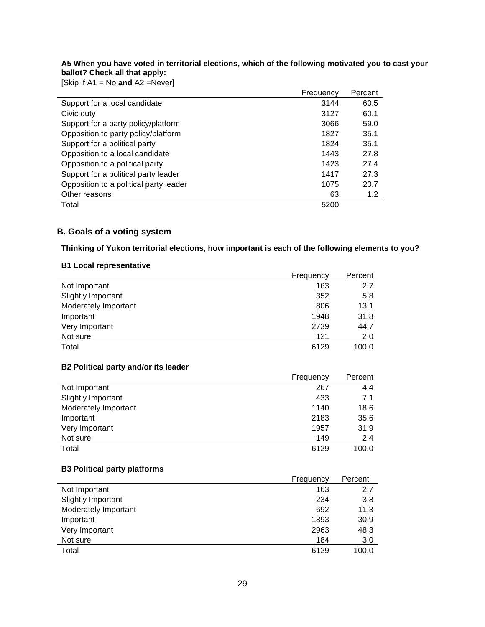**A5 When you have voted in territorial elections, which of the following motivated you to cast your ballot? Check all that apply:**

[Skip if A1 = No **and** A2 =Never]

| $300 \text{ N}$ in A i = 190 ding AZ = 1969611 |           |         |
|------------------------------------------------|-----------|---------|
|                                                | Frequency | Percent |
| Support for a local candidate                  | 3144      | 60.5    |
| Civic duty                                     | 3127      | 60.1    |
| Support for a party policy/platform            | 3066      | 59.0    |
| Opposition to party policy/platform            | 1827      | 35.1    |
| Support for a political party                  | 1824      | 35.1    |
| Opposition to a local candidate                | 1443      | 27.8    |
| Opposition to a political party                | 1423      | 27.4    |
| Support for a political party leader           | 1417      | 27.3    |
| Opposition to a political party leader         | 1075      | 20.7    |
| Other reasons                                  | 63        | 1.2     |
| Total                                          | 5200      |         |

### **B. Goals of a voting system**

**Thinking of Yukon territorial elections, how important is each of the following elements to you?**

#### **B1 Local representative**

|                      | Frequency | Percent |
|----------------------|-----------|---------|
| Not Important        | 163       | 2.7     |
| Slightly Important   | 352       | 5.8     |
| Moderately Important | 806       | 13.1    |
| Important            | 1948      | 31.8    |
| Very Important       | 2739      | 44.7    |
| Not sure             | 121       | 2.0     |
| Total                | 6129      | 100.0   |

#### **B2 Political party and/or its leader**

|                      | Frequency | Percent |
|----------------------|-----------|---------|
| Not Important        | 267       | 4.4     |
| Slightly Important   | 433       | 7.1     |
| Moderately Important | 1140      | 18.6    |
| Important            | 2183      | 35.6    |
| Very Important       | 1957      | 31.9    |
| Not sure             | 149       | 2.4     |
| Total                | 6129      | 100.0   |

#### **B3 Political party platforms**

|                      | Frequency | Percent |
|----------------------|-----------|---------|
| Not Important        | 163       | 2.7     |
| Slightly Important   | 234       | 3.8     |
| Moderately Important | 692       | 11.3    |
| Important            | 1893      | 30.9    |
| Very Important       | 2963      | 48.3    |
| Not sure             | 184       | 3.0     |
| Total                | 6129      | 100.0   |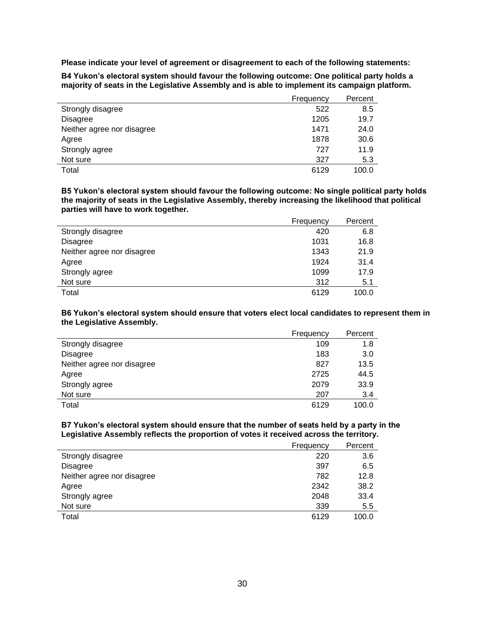**Please indicate your level of agreement or disagreement to each of the following statements:**

**B4 Yukon's electoral system should favour the following outcome: One political party holds a majority of seats in the Legislative Assembly and is able to implement its campaign platform.**

|                            | Frequency | Percent |
|----------------------------|-----------|---------|
| Strongly disagree          | 522       | 8.5     |
| <b>Disagree</b>            | 1205      | 19.7    |
| Neither agree nor disagree | 1471      | 24.0    |
| Agree                      | 1878      | 30.6    |
| Strongly agree             | 727       | 11.9    |
| Not sure                   | 327       | 5.3     |
| Total                      | 6129      | 100.0   |

**B5 Yukon's electoral system should favour the following outcome: No single political party holds the majority of seats in the Legislative Assembly, thereby increasing the likelihood that political parties will have to work together.**

|                            | Frequency | Percent |
|----------------------------|-----------|---------|
| Strongly disagree          | 420       | 6.8     |
| <b>Disagree</b>            | 1031      | 16.8    |
| Neither agree nor disagree | 1343      | 21.9    |
| Agree                      | 1924      | 31.4    |
| Strongly agree             | 1099      | 17.9    |
| Not sure                   | 312       | 5.1     |
| Total                      | 6129      | 100.0   |

**B6 Yukon's electoral system should ensure that voters elect local candidates to represent them in the Legislative Assembly.**

|                            | Frequency | Percent |
|----------------------------|-----------|---------|
| Strongly disagree          | 109       | 1.8     |
| Disagree                   | 183       | 3.0     |
| Neither agree nor disagree | 827       | 13.5    |
| Agree                      | 2725      | 44.5    |
| Strongly agree             | 2079      | 33.9    |
| Not sure                   | 207       | 3.4     |
| Total                      | 6129      | 100.0   |

#### **B7 Yukon's electoral system should ensure that the number of seats held by a party in the Legislative Assembly reflects the proportion of votes it received across the territory.**

|                            | Frequency | Percent |
|----------------------------|-----------|---------|
| Strongly disagree          | 220       | 3.6     |
| Disagree                   | 397       | 6.5     |
| Neither agree nor disagree | 782       | 12.8    |
| Agree                      | 2342      | 38.2    |
| Strongly agree             | 2048      | 33.4    |
| Not sure                   | 339       | 5.5     |
| Total                      | 6129      | 100.0   |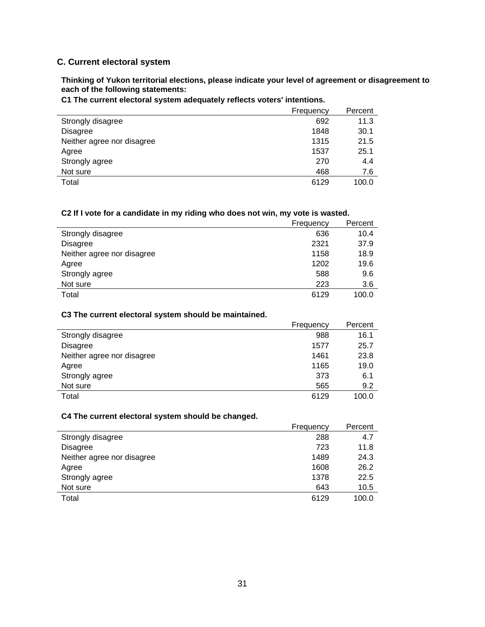## **C. Current electoral system**

**Thinking of Yukon territorial elections, please indicate your level of agreement or disagreement to each of the following statements:**

|                            | Frequency | Percent |
|----------------------------|-----------|---------|
| Strongly disagree          | 692       | 11.3    |
| <b>Disagree</b>            | 1848      | 30.1    |
| Neither agree nor disagree | 1315      | 21.5    |
| Agree                      | 1537      | 25.1    |
| Strongly agree             | 270       | 4.4     |
| Not sure                   | 468       | 7.6     |
| Total                      | 6129      | 100.0   |

**C1 The current electoral system adequately reflects voters' intentions.**

#### **C2 If I vote for a candidate in my riding who does not win, my vote is wasted.**

|                            | Frequency | Percent |
|----------------------------|-----------|---------|
| Strongly disagree          | 636       | 10.4    |
| <b>Disagree</b>            | 2321      | 37.9    |
| Neither agree nor disagree | 1158      | 18.9    |
| Agree                      | 1202      | 19.6    |
| Strongly agree             | 588       | 9.6     |
| Not sure                   | 223       | 3.6     |
| Total                      | 6129      | 100.0   |

#### **C3 The current electoral system should be maintained.**

|                            | Frequency | Percent |
|----------------------------|-----------|---------|
| Strongly disagree          | 988       | 16.1    |
| <b>Disagree</b>            | 1577      | 25.7    |
| Neither agree nor disagree | 1461      | 23.8    |
| Agree                      | 1165      | 19.0    |
| Strongly agree             | 373       | 6.1     |
| Not sure                   | 565       | 9.2     |
| Total                      | 6129      | 100.0   |

#### **C4 The current electoral system should be changed.**

|                            | Frequency | Percent |
|----------------------------|-----------|---------|
| Strongly disagree          | 288       | 4.7     |
| <b>Disagree</b>            | 723       | 11.8    |
| Neither agree nor disagree | 1489      | 24.3    |
| Agree                      | 1608      | 26.2    |
| Strongly agree             | 1378      | 22.5    |
| Not sure                   | 643       | 10.5    |
| Total                      | 6129      | 100.0   |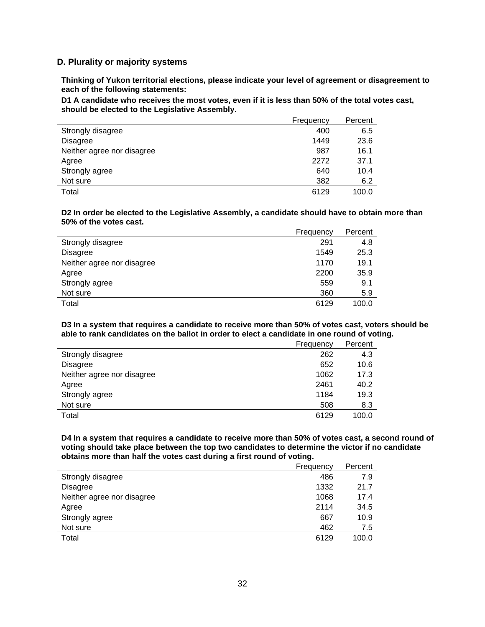#### **D. Plurality or majority systems**

**Thinking of Yukon territorial elections, please indicate your level of agreement or disagreement to each of the following statements:**

**D1 A candidate who receives the most votes, even if it is less than 50% of the total votes cast, should be elected to the Legislative Assembly.**

|                            | Frequency | Percent |
|----------------------------|-----------|---------|
| Strongly disagree          | 400       | 6.5     |
| <b>Disagree</b>            | 1449      | 23.6    |
| Neither agree nor disagree | 987       | 16.1    |
| Agree                      | 2272      | 37.1    |
| Strongly agree             | 640       | 10.4    |
| Not sure                   | 382       | 6.2     |
| Total                      | 6129      | 100.0   |

#### **D2 In order be elected to the Legislative Assembly, a candidate should have to obtain more than 50% of the votes cast.**

|                            | Frequency | Percent |
|----------------------------|-----------|---------|
| Strongly disagree          | 291       | 4.8     |
| Disagree                   | 1549      | 25.3    |
| Neither agree nor disagree | 1170      | 19.1    |
| Agree                      | 2200      | 35.9    |
| Strongly agree             | 559       | 9.1     |
| Not sure                   | 360       | 5.9     |
| Total                      | 6129      | 100.0   |

**D3 In a system that requires a candidate to receive more than 50% of votes cast, voters should be able to rank candidates on the ballot in order to elect a candidate in one round of voting.**

|                            | Frequency | Percent |
|----------------------------|-----------|---------|
| Strongly disagree          | 262       | 4.3     |
| <b>Disagree</b>            | 652       | 10.6    |
| Neither agree nor disagree | 1062      | 17.3    |
| Agree                      | 2461      | 40.2    |
| Strongly agree             | 1184      | 19.3    |
| Not sure                   | 508       | 8.3     |
| Total                      | 6129      | 100.0   |

**D4 In a system that requires a candidate to receive more than 50% of votes cast, a second round of voting should take place between the top two candidates to determine the victor if no candidate obtains more than half the votes cast during a first round of voting.**

|                            | Frequency | Percent |
|----------------------------|-----------|---------|
| Strongly disagree          | 486       | 7.9     |
| <b>Disagree</b>            | 1332      | 21.7    |
| Neither agree nor disagree | 1068      | 17.4    |
| Agree                      | 2114      | 34.5    |
| Strongly agree             | 667       | 10.9    |
| Not sure                   | 462       | 7.5     |
| Total                      | 6129      | 100.0   |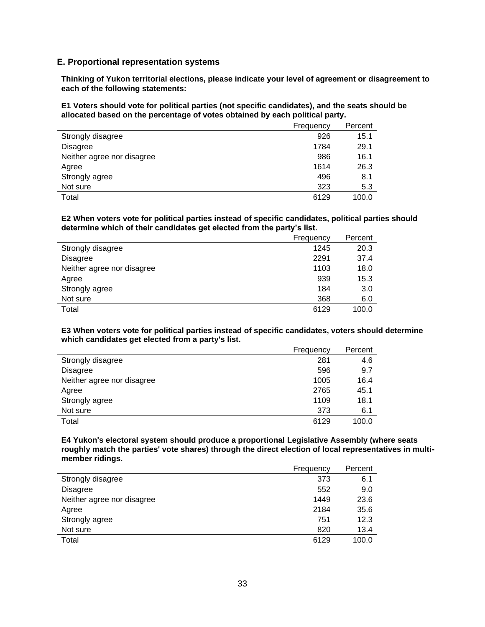#### **E. Proportional representation systems**

**Thinking of Yukon territorial elections, please indicate your level of agreement or disagreement to each of the following statements:**

**E1 Voters should vote for political parties (not specific candidates), and the seats should be allocated based on the percentage of votes obtained by each political party.**

|                            | Frequency | Percent |
|----------------------------|-----------|---------|
| Strongly disagree          | 926       | 15.1    |
| Disagree                   | 1784      | 29.1    |
| Neither agree nor disagree | 986       | 16.1    |
| Agree                      | 1614      | 26.3    |
| Strongly agree             | 496       | 8.1     |
| Not sure                   | 323       | 5.3     |
| Total                      | 6129      | 100.0   |

#### **E2 When voters vote for political parties instead of specific candidates, political parties should determine which of their candidates get elected from the party's list.**

|                            | Frequency | Percent |
|----------------------------|-----------|---------|
| Strongly disagree          | 1245      | 20.3    |
| Disagree                   | 2291      | 37.4    |
| Neither agree nor disagree | 1103      | 18.0    |
| Agree                      | 939       | 15.3    |
| Strongly agree             | 184       | 3.0     |
| Not sure                   | 368       | 6.0     |
| Total                      | 6129      | 100.0   |

**E3 When voters vote for political parties instead of specific candidates, voters should determine which candidates get elected from a party's list.**

|                            | Frequency | Percent |
|----------------------------|-----------|---------|
| Strongly disagree          | 281       | 4.6     |
| Disagree                   | 596       | 9.7     |
| Neither agree nor disagree | 1005      | 16.4    |
| Agree                      | 2765      | 45.1    |
| Strongly agree             | 1109      | 18.1    |
| Not sure                   | 373       | 6.1     |
| Total                      | 6129      | 100.0   |

**E4 Yukon's electoral system should produce a proportional Legislative Assembly (where seats roughly match the parties' vote shares) through the direct election of local representatives in multimember ridings.**

|                            | Frequency | Percent |
|----------------------------|-----------|---------|
| Strongly disagree          | 373       | 6.1     |
| <b>Disagree</b>            | 552       | 9.0     |
| Neither agree nor disagree | 1449      | 23.6    |
| Agree                      | 2184      | 35.6    |
| Strongly agree             | 751       | 12.3    |
| Not sure                   | 820       | 13.4    |
| Total                      | 6129      | 100.0   |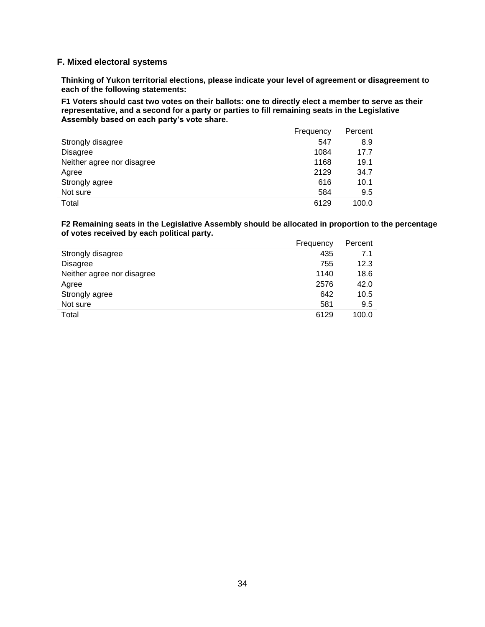#### **F. Mixed electoral systems**

**Thinking of Yukon territorial elections, please indicate your level of agreement or disagreement to each of the following statements:**

**F1 Voters should cast two votes on their ballots: one to directly elect a member to serve as their representative, and a second for a party or parties to fill remaining seats in the Legislative Assembly based on each party's vote share.**

|                            | Frequency | Percent |
|----------------------------|-----------|---------|
| Strongly disagree          | 547       | 8.9     |
| <b>Disagree</b>            | 1084      | 17.7    |
| Neither agree nor disagree | 1168      | 19.1    |
| Agree                      | 2129      | 34.7    |
| Strongly agree             | 616       | 10.1    |
| Not sure                   | 584       | 9.5     |
| Total                      | 6129      | 100.0   |

**F2 Remaining seats in the Legislative Assembly should be allocated in proportion to the percentage of votes received by each political party.**

|                            | Frequency | Percent |
|----------------------------|-----------|---------|
| Strongly disagree          | 435       | 7.1     |
| <b>Disagree</b>            | 755       | 12.3    |
| Neither agree nor disagree | 1140      | 18.6    |
| Agree                      | 2576      | 42.0    |
| Strongly agree             | 642       | 10.5    |
| Not sure                   | 581       | 9.5     |
| Total                      | 6129      | 100.0   |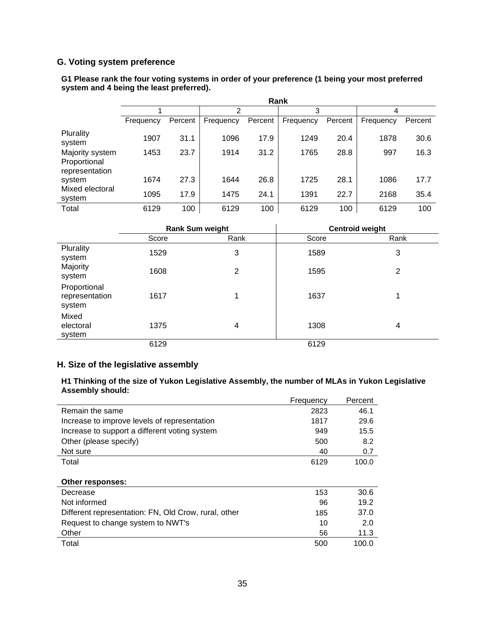## **G. Voting system preference**

|                                                   | Rank      |         |           |         |           |         |           |         |
|---------------------------------------------------|-----------|---------|-----------|---------|-----------|---------|-----------|---------|
|                                                   |           |         | っ         |         | 3         |         | 4         |         |
|                                                   | Frequency | Percent | Frequency | Percent | Frequency | Percent | Frequency | Percent |
| Plurality<br>system                               | 1907      | 31.1    | 1096      | 17.9    | 1249      | 20.4    | 1878      | 30.6    |
| Majority system<br>Proportional<br>representation | 1453      | 23.7    | 1914      | 31.2    | 1765      | 28.8    | 997       | 16.3    |
| system                                            | 1674      | 27.3    | 1644      | 26.8    | 1725      | 28.1    | 1086      | 17.7    |
| Mixed electoral<br>system                         | 1095      | 17.9    | 1475      | 24.1    | 1391      | 22.7    | 2168      | 35.4    |
| Total                                             | 6129      | 100     | 6129      | 100     | 6129      | 100     | 6129      | 100     |

#### **G1 Please rank the four voting systems in order of your preference (1 being your most preferred system and 4 being the least preferred).**

|                                          |       | <b>Rank Sum weight</b> |       | <b>Centroid weight</b> |
|------------------------------------------|-------|------------------------|-------|------------------------|
|                                          | Score | Rank                   | Score | Rank                   |
| Plurality<br>system                      | 1529  | 3                      | 1589  | 3                      |
| Majority<br>system                       | 1608  | 2                      | 1595  | 2                      |
| Proportional<br>representation<br>system | 1617  | 1                      | 1637  | 1                      |
| Mixed<br>electoral<br>system             | 1375  | 4                      | 1308  | 4                      |
|                                          | 6129  |                        | 6129  |                        |

## **H. Size of the legislative assembly**

#### **H1 Thinking of the size of Yukon Legislative Assembly, the number of MLAs in Yukon Legislative Assembly should:**

|                                                      | Frequency | Percent |
|------------------------------------------------------|-----------|---------|
| Remain the same                                      | 2823      | 46.1    |
| Increase to improve levels of representation         | 1817      | 29.6    |
| Increase to support a different voting system        | 949       | 15.5    |
| Other (please specify)                               | 500       | 8.2     |
| Not sure                                             | 40        | 0.7     |
| Total                                                | 6129      | 100.0   |
|                                                      |           |         |
| Other responses:                                     |           |         |
| Decrease                                             | 153       | 30.6    |
| Not informed                                         | 96        | 19.2    |
| Different representation: FN, Old Crow, rural, other | 185       | 37.0    |
| Request to change system to NWT's                    | 10        | 2.0     |
| Other                                                | 56        | 11.3    |
| Total                                                | 500       | 100.0   |
|                                                      |           |         |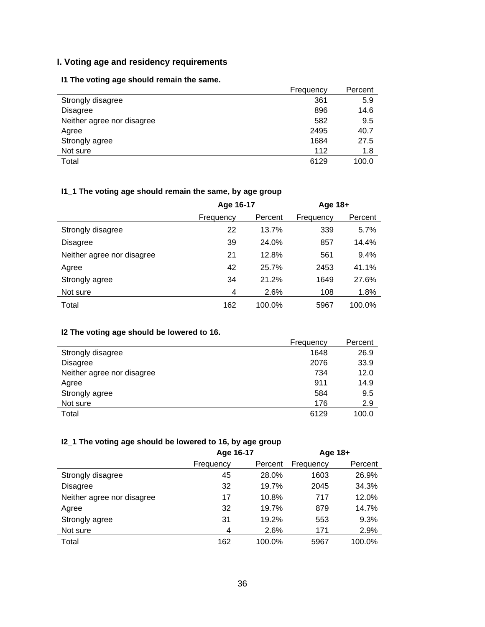## **I. Voting age and residency requirements**

## **I1 The voting age should remain the same.**

|                            | Frequency | Percent |
|----------------------------|-----------|---------|
| Strongly disagree          | 361       | 5.9     |
| <b>Disagree</b>            | 896       | 14.6    |
| Neither agree nor disagree | 582       | 9.5     |
| Agree                      | 2495      | 40.7    |
| Strongly agree             | 1684      | 27.5    |
| Not sure                   | 112       | 1.8     |
| Total                      | 6129      | 100.0   |

# **I1\_1 The voting age should remain the same, by age group**

|                            | Age 16-17 |         | Age 18+   |         |
|----------------------------|-----------|---------|-----------|---------|
|                            | Frequency | Percent | Frequency | Percent |
| Strongly disagree          | 22        | 13.7%   | 339       | 5.7%    |
| <b>Disagree</b>            | 39        | 24.0%   | 857       | 14.4%   |
| Neither agree nor disagree | 21        | 12.8%   | 561       | 9.4%    |
| Agree                      | 42        | 25.7%   | 2453      | 41.1%   |
| Strongly agree             | 34        | 21.2%   | 1649      | 27.6%   |
| Not sure                   | 4         | 2.6%    | 108       | 1.8%    |
| Total                      | 162       | 100.0%  | 5967      | 100.0%  |

## **I2 The voting age should be lowered to 16.**

|                            | Frequency | Percent |
|----------------------------|-----------|---------|
| Strongly disagree          | 1648      | 26.9    |
| <b>Disagree</b>            | 2076      | 33.9    |
| Neither agree nor disagree | 734       | 12.0    |
| Agree                      | 911       | 14.9    |
| Strongly agree             | 584       | 9.5     |
| Not sure                   | 176       | 2.9     |
| Total                      | 6129      | 100.0   |

# **I2\_1 The voting age should be lowered to 16, by age group**

|                            | Age 16-17 |         | Age 18+   |         |
|----------------------------|-----------|---------|-----------|---------|
|                            | Frequency | Percent | Frequency | Percent |
| Strongly disagree          | 45        | 28.0%   | 1603      | 26.9%   |
| <b>Disagree</b>            | 32        | 19.7%   | 2045      | 34.3%   |
| Neither agree nor disagree | 17        | 10.8%   | 717       | 12.0%   |
| Agree                      | 32        | 19.7%   | 879       | 14.7%   |
| Strongly agree             | 31        | 19.2%   | 553       | 9.3%    |
| Not sure                   | 4         | 2.6%    | 171       | 2.9%    |
| Total                      | 162       | 100.0%  | 5967      | 100.0%  |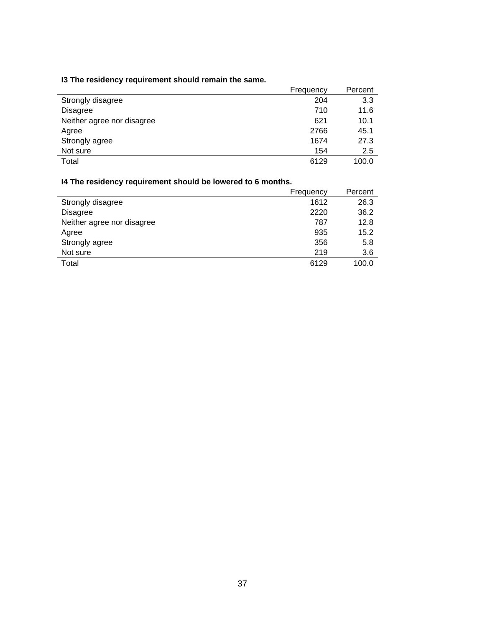## **I3 The residency requirement should remain the same.**

|                            | Frequency | Percent |
|----------------------------|-----------|---------|
| Strongly disagree          | 204       | 3.3     |
| <b>Disagree</b>            | 710       | 11.6    |
| Neither agree nor disagree | 621       | 10.1    |
| Agree                      | 2766      | 45.1    |
| Strongly agree             | 1674      | 27.3    |
| Not sure                   | 154       | 2.5     |
| Total                      | 6129      | 100.0   |

## **I4 The residency requirement should be lowered to 6 months.**

|                            | Frequency | Percent |
|----------------------------|-----------|---------|
| Strongly disagree          | 1612      | 26.3    |
| <b>Disagree</b>            | 2220      | 36.2    |
| Neither agree nor disagree | 787       | 12.8    |
| Agree                      | 935       | 15.2    |
| Strongly agree             | 356       | 5.8     |
| Not sure                   | 219       | 3.6     |
| Total                      | 6129      | 100.0   |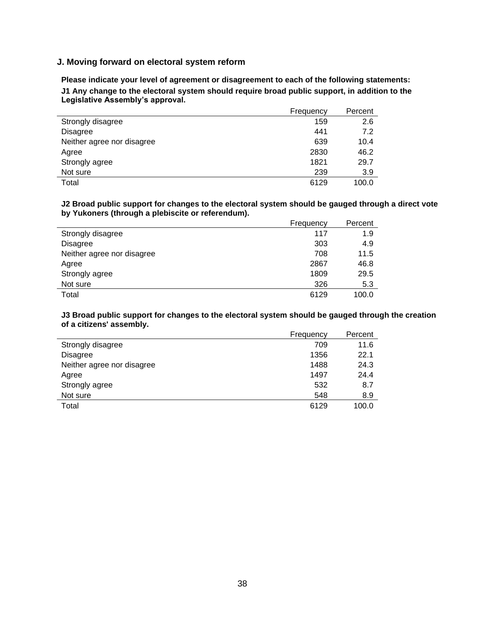#### **J. Moving forward on electoral system reform**

**Please indicate your level of agreement or disagreement to each of the following statements: J1 Any change to the electoral system should require broad public support, in addition to the Legislative Assembly's approval.**

|                            | Frequency | Percent |
|----------------------------|-----------|---------|
| Strongly disagree          | 159       | 2.6     |
| <b>Disagree</b>            | 441       | 7.2     |
| Neither agree nor disagree | 639       | 10.4    |
| Agree                      | 2830      | 46.2    |
| Strongly agree             | 1821      | 29.7    |
| Not sure                   | 239       | 3.9     |
| Total                      | 6129      | 100.0   |

**J2 Broad public support for changes to the electoral system should be gauged through a direct vote by Yukoners (through a plebiscite or referendum).**

|                            | Frequency | Percent |
|----------------------------|-----------|---------|
| Strongly disagree          | 117       | 1.9     |
| Disagree                   | 303       | 4.9     |
| Neither agree nor disagree | 708       | 11.5    |
| Agree                      | 2867      | 46.8    |
| Strongly agree             | 1809      | 29.5    |
| Not sure                   | 326       | 5.3     |
| Total                      | 6129      | 100.0   |

**J3 Broad public support for changes to the electoral system should be gauged through the creation of a citizens' assembly.**

|                            | Frequency | Percent |
|----------------------------|-----------|---------|
| Strongly disagree          | 709       | 11.6    |
| <b>Disagree</b>            | 1356      | 22.1    |
| Neither agree nor disagree | 1488      | 24.3    |
| Agree                      | 1497      | 24.4    |
| Strongly agree             | 532       | 8.7     |
| Not sure                   | 548       | 8.9     |
| Total                      | 6129      | 100.0   |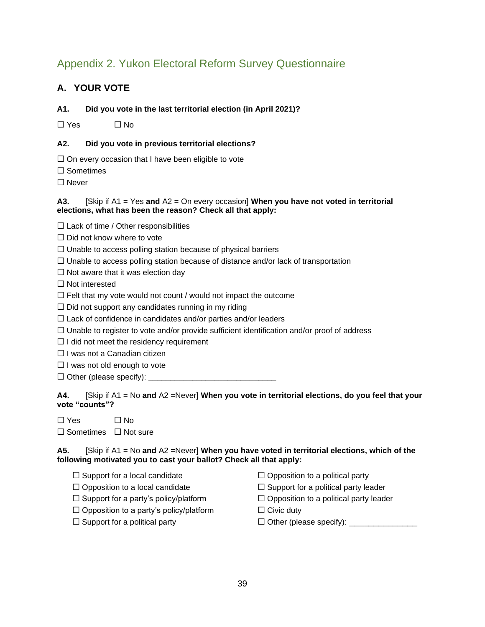# <span id="page-40-0"></span>Appendix 2. Yukon Electoral Reform Survey Questionnaire

## **A. YOUR VOTE**

#### **A1. Did you vote in the last territorial election (in April 2021)?**

 $\Box$  Yes  $\Box$  No

#### **A2. Did you vote in previous territorial elections?**

 $\Box$  On every occasion that I have been eligible to vote

□ Sometimes

☐ Never

#### **A3.** [Skip if A1 = Yes **and** A2 = On every occasion] **When you have not voted in territorial elections, what has been the reason? Check all that apply:**

 $\Box$  Lack of time / Other responsibilities

 $\Box$  Did not know where to vote

 $\Box$  Unable to access polling station because of physical barriers

- $\Box$  Unable to access polling station because of distance and/or lack of transportation
- $\Box$  Not aware that it was election day

☐ Not interested

 $\Box$  Felt that my vote would not count / would not impact the outcome

 $\Box$  Did not support any candidates running in my riding

- $\Box$  Lack of confidence in candidates and/or parties and/or leaders
- $\Box$  Unable to register to vote and/or provide sufficient identification and/or proof of address
- $\Box$  I did not meet the residency requirement
- ☐ I was not a Canadian citizen
- $\Box$  I was not old enough to vote
- $\Box$  Other (please specify):  $\_$

**A4.** [Skip if A1 = No **and** A2 =Never] **When you vote in territorial elections, do you feel that your vote "counts"?**

| $\Box$ Yes | $\Box$ No |
|------------|-----------|
|            |           |

☐ Sometimes ☐ Not sure

**A5.** [Skip if A1 = No **and** A2 =Never] **When you have voted in territorial elections, which of the following motivated you to cast your ballot? Check all that apply:**

- 
- 
- 
- $\Box$  Opposition to a party's policy/platform  $\Box$  Civic duty
- 
- $\Box$  Support for a local candidate  $\Box$  Opposition to a political party
- ☐ Opposition to a local candidate ☐ Support for a political party leader
- $\Box$  Support for a party's policy/platform  $\Box$  Opposition to a political party leader
	-
- ☐ Support for a political party ☐ Other (please specify): \_\_\_\_\_\_\_\_\_\_\_\_\_\_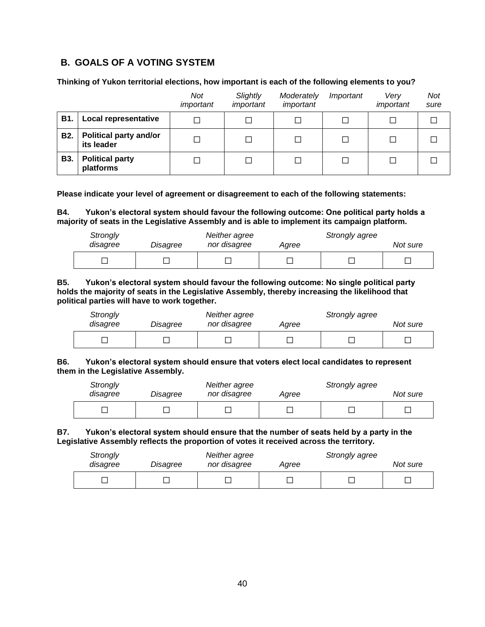## **B. GOALS OF A VOTING SYSTEM**

#### **Thinking of Yukon territorial elections, how important is each of the following elements to you?**

|            |                                             | Not<br>important | Slightly<br>important | Moderately<br>important | Important | Verv<br>important | Not<br>sure |
|------------|---------------------------------------------|------------------|-----------------------|-------------------------|-----------|-------------------|-------------|
| <b>B1.</b> | <b>Local representative</b>                 |                  |                       |                         |           |                   |             |
| <b>B2.</b> | <b>Political party and/or</b><br>its leader |                  | П                     |                         |           |                   |             |
| <b>B3.</b> | <b>Political party</b><br>platforms         |                  |                       |                         |           |                   |             |

**Please indicate your level of agreement or disagreement to each of the following statements:**

**B4. Yukon's electoral system should favour the following outcome: One political party holds a majority of seats in the Legislative Assembly and is able to implement its campaign platform.**

| Strongly<br>disagree | Disagree | Neither agree<br>nor disagree | Strongly agree<br>Aaree |  | Not sure |
|----------------------|----------|-------------------------------|-------------------------|--|----------|
|                      |          |                               |                         |  |          |

**B5. Yukon's electoral system should favour the following outcome: No single political party holds the majority of seats in the Legislative Assembly, thereby increasing the likelihood that political parties will have to work together.**

| Strongly<br>disagree | Disagree | Neither agree<br>nor disagree | Agree | Strongly agree | Not sure |
|----------------------|----------|-------------------------------|-------|----------------|----------|
| -                    |          |                               |       |                |          |

#### **B6. Yukon's electoral system should ensure that voters elect local candidates to represent them in the Legislative Assembly.**

| Strongly<br>disagree | Disagree | Neither agree<br>nor disagree | Agree | Strongly agree | Not sure |
|----------------------|----------|-------------------------------|-------|----------------|----------|
|                      |          |                               |       |                |          |

#### **B7. Yukon's electoral system should ensure that the number of seats held by a party in the Legislative Assembly reflects the proportion of votes it received across the territory.**

| Strongly | Disagree | Neither agree |  | Strongly agree |  |  |
|----------|----------|---------------|--|----------------|--|--|
| disagree |          | nor disagree  |  | Agree          |  |  |
|          |          |               |  |                |  |  |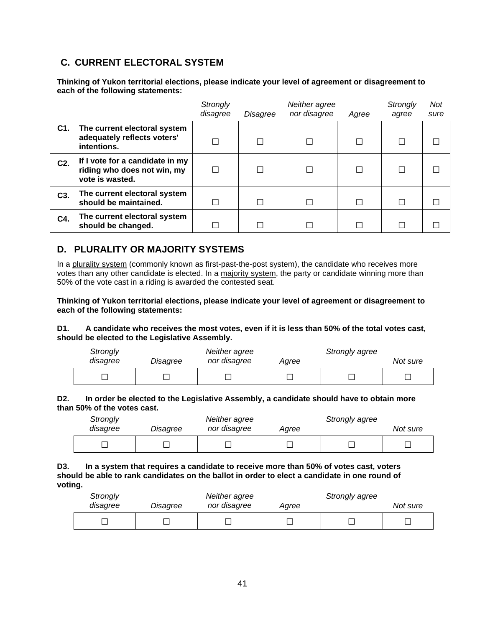## **C. CURRENT ELECTORAL SYSTEM**

**Thinking of Yukon territorial elections, please indicate your level of agreement or disagreement to each of the following statements:**

|                  |                                                                                   | Strongly<br>disagree | Disagree | Neither agree<br>nor disagree | Agree | Strongly<br>agree | <b>Not</b><br>sure |
|------------------|-----------------------------------------------------------------------------------|----------------------|----------|-------------------------------|-------|-------------------|--------------------|
| C1.              | The current electoral system<br>adequately reflects voters'<br>intentions.        |                      |          | П                             |       |                   |                    |
| C2.              | If I vote for a candidate in my<br>riding who does not win, my<br>vote is wasted. |                      |          | П                             |       |                   |                    |
| C <sub>3</sub> . | The current electoral system<br>should be maintained.                             |                      |          | П                             |       |                   |                    |
| C4.              | The current electoral system<br>should be changed.                                |                      |          |                               |       |                   |                    |

## **D. PLURALITY OR MAJORITY SYSTEMS**

In a [plurality system](https://www.britannica.com/topic/election-political-science/Plurality-and-majority-systems) (commonly known as first-past-the-post system), the candidate who receives more votes than any other candidate is elected. In a [majority system,](https://www.britannica.com/topic/election-political-science/Plurality-and-majority-systems) the party or candidate winning more than 50% of the vote cast in a riding is awarded the contested seat.

**Thinking of Yukon territorial elections, please indicate your level of agreement or disagreement to each of the following statements:**

#### **D1. A candidate who receives the most votes, even if it is less than 50% of the total votes cast, should be elected to the Legislative Assembly.**

| Strongly<br>disagree | Disagree | Neither agree<br>nor disagree | Agree | Strongly agree | Not sure |
|----------------------|----------|-------------------------------|-------|----------------|----------|
|                      |          |                               |       |                |          |

#### **D2. In order be elected to the Legislative Assembly, a candidate should have to obtain more than 50% of the votes cast.**

| Strongly<br>disagree | Disagree | Neither agree<br>nor disagree | Agree | Strongly agree | Not sure |
|----------------------|----------|-------------------------------|-------|----------------|----------|
|                      |          |                               |       |                |          |

#### **D3. In a system that requires a candidate to receive more than 50% of votes cast, voters should be able to rank candidates on the ballot in order to elect a candidate in one round of voting.**

| Strongly<br>disagree | Disagree | Neither agree<br>nor disagree | Agree | Strongly agree | Not sure |
|----------------------|----------|-------------------------------|-------|----------------|----------|
|                      |          |                               |       |                |          |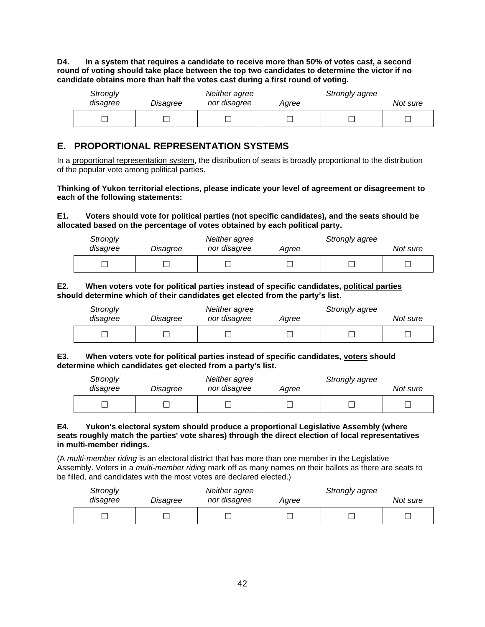**D4. In a system that requires a candidate to receive more than 50% of votes cast, a second round of voting should take place between the top two candidates to determine the victor if no candidate obtains more than half the votes cast during a first round of voting.**

| Strongly<br>disagree | Disagree | Neither agree<br>nor disagree | Agree | Strongly agree | Not sure |
|----------------------|----------|-------------------------------|-------|----------------|----------|
|                      |          |                               |       |                |          |

## **E. PROPORTIONAL REPRESENTATION SYSTEMS**

In a [proportional representation](https://www.britannica.com/topic/proportional-representation) system, the distribution of seats is broadly proportional to the distribution of the popular vote among political parties.

#### **Thinking of Yukon territorial elections, please indicate your level of agreement or disagreement to each of the following statements:**

#### **E1. Voters should vote for political parties (not specific candidates), and the seats should be allocated based on the percentage of votes obtained by each political party.**

| Strongly<br>disagree | Disagree | Neither agree<br>nor disagree | Agree | Strongly agree | Not sure |
|----------------------|----------|-------------------------------|-------|----------------|----------|
|                      |          |                               |       |                |          |

#### **E2. When voters vote for political parties instead of specific candidates, political parties should determine which of their candidates get elected from the party's list.**

| Strongly<br>disagree | Disagree | Neither agree<br>nor disagree | Agree | Strongly agree | Not sure |
|----------------------|----------|-------------------------------|-------|----------------|----------|
|                      |          |                               |       |                |          |

#### **E3. When voters vote for political parties instead of specific candidates, voters should determine which candidates get elected from a party's list.**

| Strongly<br>disagree | Disagree | Neither agree<br>nor disagree | Agree | Strongly agree | Not sure |
|----------------------|----------|-------------------------------|-------|----------------|----------|
|                      |          |                               |       |                |          |

#### **E4. Yukon's electoral system should produce a proportional Legislative Assembly (where seats roughly match the parties' vote shares) through the direct election of local representatives in multi-member ridings.**

(A *multi-member riding* is an electoral district that has more than one member in the Legislative Assembly. Voters in a *multi-member riding* mark off as many names on their ballots as there are seats to be filled, and candidates with the most votes are declared elected.)

| Strongly<br>disagree | Disagree | Neither agree<br>nor disagree | Agree | Strongly agree | Not sure |
|----------------------|----------|-------------------------------|-------|----------------|----------|
|                      |          |                               |       |                |          |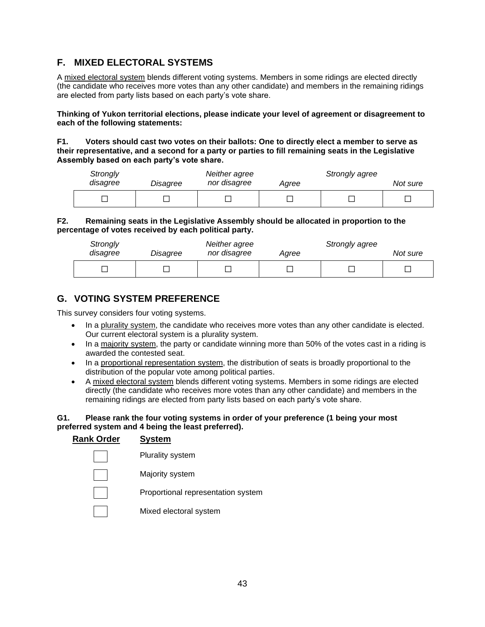## **F. MIXED ELECTORAL SYSTEMS**

A mixed electoral system blends different voting systems. Members in some ridings are elected directly (the candidate who receives more votes than any other candidate) and members in the remaining ridings are elected from party lists based on each party's vote share.

**Thinking of Yukon territorial elections, please indicate your level of agreement or disagreement to each of the following statements:**

**F1. Voters should cast two votes on their ballots: One to directly elect a member to serve as their representative, and a second for a party or parties to fill remaining seats in the Legislative Assembly based on each party's vote share.**

| Strongly<br>disagree | Disagree | Neither agree<br>nor disagree | Aaree | Strongly agree | Not sure |
|----------------------|----------|-------------------------------|-------|----------------|----------|
|                      |          |                               |       |                |          |

#### **F2. Remaining seats in the Legislative Assembly should be allocated in proportion to the percentage of votes received by each political party.**

| Strongly<br>disagree | Disagree | Neither agree<br>nor disagree | Aaree | Strongly agree | Not sure |
|----------------------|----------|-------------------------------|-------|----------------|----------|
|                      |          |                               |       |                |          |

## **G. VOTING SYSTEM PREFERENCE**

This survey considers four voting systems.

- In a plurality system, the candidate who receives more votes than any other candidate is elected. Our current electoral system is a plurality system.
- In a majority system, the party or candidate winning more than 50% of the votes cast in a riding is awarded the contested seat.
- In a proportional representation system, the distribution of seats is broadly proportional to the distribution of the popular vote among political parties.
- A mixed electoral system blends different voting systems. Members in some ridings are elected directly (the candidate who receives more votes than any other candidate) and members in the remaining ridings are elected from party lists based on each party's vote share.

#### **G1. Please rank the four voting systems in order of your preference (1 being your most preferred system and 4 being the least preferred).**

| <b>Rank Order</b> | <b>System</b>                      |
|-------------------|------------------------------------|
|                   | <b>Plurality system</b>            |
|                   | Majority system                    |
|                   | Proportional representation system |
|                   | Mixed electoral system             |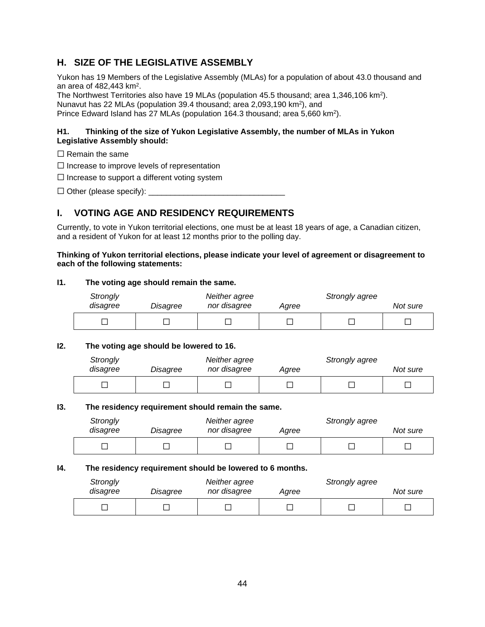## **H. SIZE OF THE LEGISLATIVE ASSEMBLY**

Yukon has 19 Members of the Legislative Assembly (MLAs) for a population of about 43.0 thousand and an area of  $482,443$  km<sup>2</sup>.

The Northwest Territories also have 19 MLAs (population 45.5 thousand; area 1,346,106 km<sup>2</sup>). Nunavut has 22 MLAs (population 39.4 thousand; area 2,093,190 km<sup>2</sup>), and

Prince Edward Island has 27 MLAs (population 164.3 thousand; area 5,660 km<sup>2</sup>).

#### **H1. Thinking of the size of Yukon Legislative Assembly, the number of MLAs in Yukon Legislative Assembly should:**

- $\Box$  Remain the same
- ☐ Increase to improve levels of representation

 $\Box$  Increase to support a different voting system

 $\Box$  Other (please specify):  $\Box$ 

## **I. VOTING AGE AND RESIDENCY REQUIREMENTS**

Currently, to vote in Yukon territorial elections, one must be at least 18 years of age, a Canadian citizen, and a resident of Yukon for at least 12 months prior to the polling day.

#### **Thinking of Yukon territorial elections, please indicate your level of agreement or disagreement to each of the following statements:**

#### **I1. The voting age should remain the same.**

| Strongly<br>disagree | Disagree | Neither agree<br>nor disagree | Agree | Strongly agree | Not sure |
|----------------------|----------|-------------------------------|-------|----------------|----------|
|                      |          |                               |       |                |          |

#### **I2. The voting age should be lowered to 16.**

| Strongly<br>disagree | Disagree | Neither agree<br>nor disagree | Aaree | Strongly agree | Not sure |
|----------------------|----------|-------------------------------|-------|----------------|----------|
|                      |          |                               |       |                |          |

#### **I3. The residency requirement should remain the same.**

| Strongly<br>disagree | Disagree | Neither agree<br>nor disagree | Agree | Strongly agree | Not sure |
|----------------------|----------|-------------------------------|-------|----------------|----------|
|                      |          |                               |       |                |          |

#### **I4. The residency requirement should be lowered to 6 months.**

| Strongly<br>disagree | Disagree | Neither agree<br>nor disagree | Agree | Strongly agree | Not sure |
|----------------------|----------|-------------------------------|-------|----------------|----------|
|                      |          |                               |       |                |          |